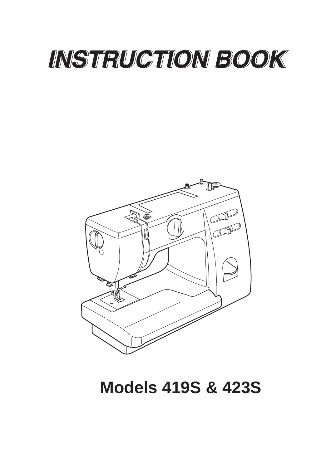# INSTRUCTION BOOK



# **Models 419S & 423S**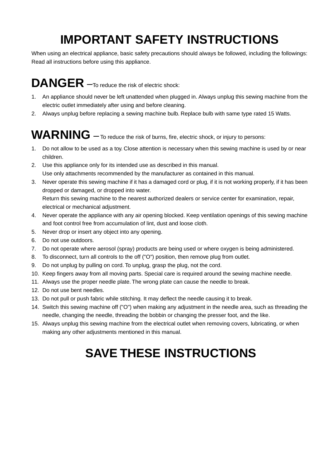## **IMPORTANT SAFETY INSTRUCTIONS**

When using an electrical appliance, basic safety precautions should always be followed, including the followings: Read all instructions before using this appliance.

# **DANGER** –To reduce the risk of electric shock:

- 1. An appliance should never be left unattended when plugged in. Always unplug this sewing machine from the electric outlet immediately after using and before cleaning.
- 2. Always unplug before replacing a sewing machine bulb. Replace bulb with same type rated 15 Watts.

# WARNING — To reduce the risk of burns, fire, electric shock, or injury to persons:

- 1. Do not allow to be used as a toy. Close attention is necessary when this sewing machine is used by or near children.
- 2. Use this appliance only for its intended use as described in this manual. Use only attachments recommended by the manufacturer as contained in this manual.
- 3. Never operate this sewing machine if it has a damaged cord or plug, if it is not working properly, if it has been dropped or damaged, or dropped into water. Return this sewing machine to the nearest authorized dealers or service center for examination, repair,

electrical or mechanical adjustment.

- 4. Never operate the appliance with any air opening blocked. Keep ventilation openings of this sewing machine and foot control free from accumulation of lint, dust and loose cloth.
- 5. Never drop or insert any object into any opening.
- 6. Do not use outdoors.
- 7. Do not operate where aerosol (spray) products are being used or where oxygen is being administered.
- 8. To disconnect, turn all controls to the off ("O") position, then remove plug from outlet.
- 9. Do not unplug by pulling on cord. To unplug, grasp the plug, not the cord.
- 10. Keep fingers away from all moving parts. Special care is required around the sewing machine needle.
- 11. Always use the proper needle plate. The wrong plate can cause the needle to break.
- 12. Do not use bent needles.
- 13. Do not pull or push fabric while stitching. It may deflect the needle causing it to break.
- 14. Switch this sewing machine off ("O") when making any adjustment in the needle area, such as threading the needle, changing the needle, threading the bobbin or changing the presser foot, and the like.
- 15. Always unplug this sewing machine from the electrical outlet when removing covers, lubricating, or when making any other adjustments mentioned in this manual.

## **SAVE THESE INSTRUCTIONS**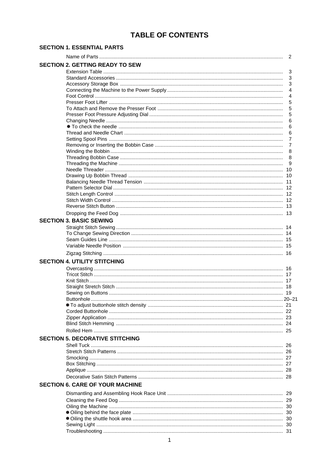### **TABLE OF CONTENTS**

| <b>SECTION 1. ESSENTIAL PARTS</b> |  |
|-----------------------------------|--|
|-----------------------------------|--|

|                                        | 2 |
|----------------------------------------|---|
| <b>SECTION 2. GETTING READY TO SEW</b> |   |
|                                        | 3 |
|                                        | 3 |
|                                        | 3 |
|                                        | 4 |
|                                        | 4 |
|                                        | 5 |
|                                        | 5 |
|                                        | 5 |
|                                        | 6 |
|                                        | 6 |
|                                        | 6 |
|                                        | 7 |
|                                        | 7 |
|                                        | 8 |
|                                        | 8 |
|                                        | 9 |
|                                        |   |
|                                        |   |
|                                        |   |
|                                        |   |
|                                        |   |
|                                        |   |
|                                        |   |
|                                        |   |
| <b>SECTION 3. BASIC SEWING</b>         |   |
|                                        |   |
|                                        |   |
|                                        |   |
|                                        |   |
|                                        |   |
| <b>SECTION 4. UTILITY STITCHING</b>    |   |
|                                        |   |
|                                        |   |
|                                        |   |
|                                        |   |
|                                        |   |
|                                        |   |
|                                        |   |
|                                        |   |
|                                        |   |
|                                        |   |
|                                        |   |
| <b>SECTION 5. DECORATIVE STITCHING</b> |   |
|                                        |   |
|                                        |   |
|                                        |   |
|                                        |   |
|                                        |   |
|                                        |   |
| <b>SECTION 6. CARE OF YOUR MACHINE</b> |   |
|                                        |   |
|                                        |   |
|                                        |   |
|                                        |   |
|                                        |   |
|                                        |   |
|                                        |   |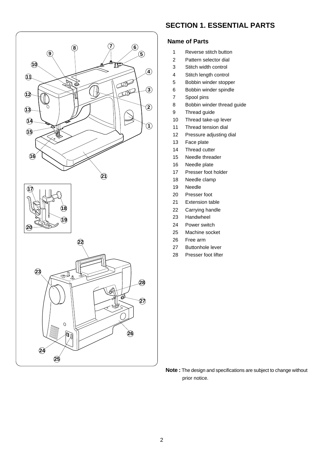

**24**

**25**

 $\circ$ đ,

#### **SECTION 1. ESSENTIAL PARTS**

#### **Name of Parts**

- 1 Reverse stitch button
- 2 Pattern selector dial
- 3 Stitch width control
- 4 Stitch length control
- 5 Bobbin winder stopper
- 6 Bobbin winder spindle
- 7 Spool pins
- 8 Bobbin winder thread guide
- 9 Thread guide
- 10 Thread take-up lever
- 11 Thread tension dial
- 12 Pressure adjusting dial
- 13 Face plate
- 14 Thread cutter
- 15 Needle threader
- 16 Needle plate
- 17 Presser foot holder
- 18 Needle clamp
- 19 Needle
- 20 Presser foot
- 21 Extension table
- 22 Carrying handle
- 23 Handwheel
- 24 Power switch
- 25 Machine socket
- 26 Free arm
- 27 Buttonhole lever
- 28 Presser foot lifter

**Note :** The design and specifications are subject to change without prior notice.

**26**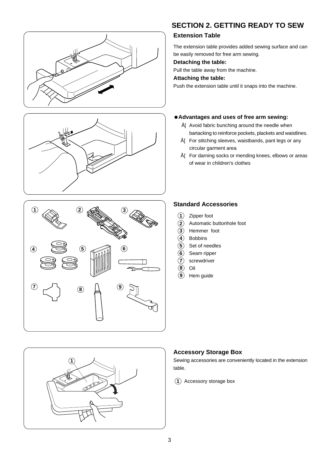







### **SECTION 2. GETTING READY TO SEW**

#### **Extension Table**

The extension table provides added sewing surface and can be easily removed for free arm sewing.

#### **Detaching the table:**

Pull the table away from the machine.

#### **Attaching the table:**

Push the extension table until it snaps into the machine.

#### **Advantages and uses of free arm sewing:**

- Å[ Avoid fabric bunching around the needle when bartacking to reinforce pockets, plackets and waistlines.
- Å[ For stitching sleeves, waistbands, pant legs or any circular garment area
- Å[ For darning socks or mending knees, elbows or areas of wear in children's clothes

#### **Standard Accessories**

- Zipper foot **1**
- Automatic buttonhole foot **2**
- Hemmer foot **3**
- Bobbins **4**
- 5) Set of needles
- Seam ripper **6**
- screwdriver **7**
- Oil **8**
- Hem guide **9**

#### **Accessory Storage Box**

Sewing accessories are conveniently located in the extension table.

1) Accessory storage box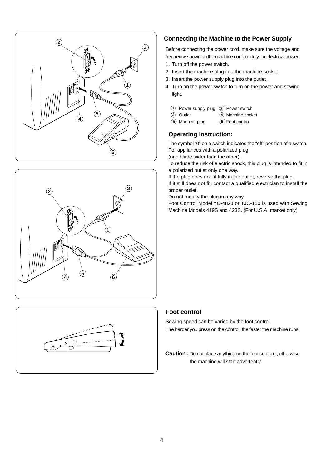





#### **Connecting the Machine to the Power Supply**

Before connecting the power cord, make sure the voltage and frequency shown on the machine conform to your electrical power.

- 1. Turn off the power switch.
- 2. Insert the machine plug into the machine socket.
- 3. Insert the power supply plug into the outlet .
- 4. Turn on the power switch to turn on the power and sewing light.
	- 1) Power supply plug (2) Power switch
	- $\Omega$  Machine socket **3 Outlet**
	- **(5)** Machine plug
- $\circled{6}$  Foot control

#### **Operating Instruction:**

The symbol "0" on a switch indicates the "off" position of a switch. For appliances with a polarized plug

(one blade wider than the other):

To reduce the risk of electric shock, this plug is intended to fit in a polarized outlet only one way.

If the plug does not fit fully in the outlet, reverse the plug. If it still does not fit, contact a qualified electrician to install the proper outlet.

Do not modify the plug in any way.

Foot Control Model YC-482J or TJC-150 is used with Sewing Machine Models 419S and 423S. (For U.S.A. market only)

#### **Foot control**

Sewing speed can be varied by the foot control. The harder you press on the control, the faster the machine runs.

**Caution :** Do not place anything on the foot contorol, otherwise the machine will start advertently.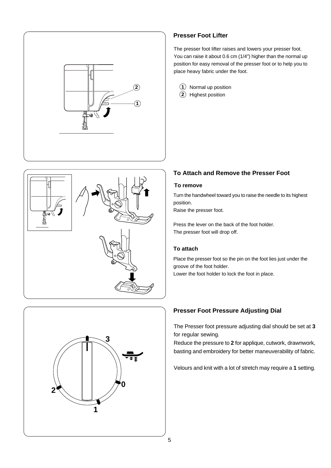





#### **Presser Foot Lifter**

The presser foot lifter raises and lowers your presser foot. You can raise it about 0.6 cm (1/4") higher than the normal up position for easy removal of the presser foot or to help you to place heavy fabric under the foot.

Normal up position **2 1** 2) Highest position

#### **To Attach and Remove the Presser Foot**

#### **To remove**

Turn the handwheel toward you to raise the needle to its highest position.

Raise the presser foot.

Press the lever on the back of the foot holder. The presser foot will drop off.

#### **To attach**

Place the presser foot so the pin on the foot lies just under the groove of the foot holder.

Lower the foot holder to lock the foot in place.

#### **Presser Foot Pressure Adjusting Dial**

The Presser foot pressure adjusting dial should be set at **3** for regular sewing.

Reduce the pressure to **2** for applique, cutwork, drawnwork, basting and embroidery for better maneuverability of fabric.

Velours and knit with a lot of stretch may require a **1** setting.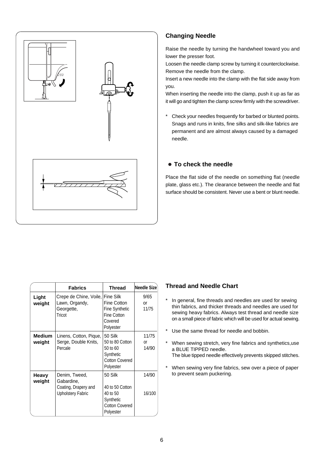

#### **Changing Needle**

Raise the needle by turning the handwheel toward you and lower the presser foot.

Loosen the needle clamp screw by turning it counterclockwise. Remove the needle from the clamp.

Insert a new needle into the clamp with the flat side away from you.

When inserting the needle into the clamp, push it up as far as it will go and tighten the clamp screw firmly with the screwdriver.

\* Check your needles frequently for barbed or blunted points. Snags and runs in knits, fine silks and silk-like fabrics are permanent and are almost always caused by a damaged needle.

#### **To check the needle**

Place the flat side of the needle on something flat (needle plate, glass etc.). The clearance between the needle and flat surface should be consistent. Never use a bent or blunt needle.

|                         | <b>Fabrics</b>                                                                  | <b>Thread</b>                                                                             | <b>Needle Size</b>   |
|-------------------------|---------------------------------------------------------------------------------|-------------------------------------------------------------------------------------------|----------------------|
| Light<br>weight         | Crepe de Chine, Voile,<br>Lawn, Organdy,<br>Georgette,<br>Tricot                | Fine Silk<br>Fine Cotton<br><b>Fine Synthetic</b><br>Fine Cotton<br>Covered<br>Polyester  | 9/65<br>or<br>11/75  |
| <b>Medium</b><br>weight | Linens, Cotton, Pique,<br>Serge, Double Knits,<br>Percale                       | 50 Silk<br>50 to 80 Cotton<br>50 to 60<br>Synthetic<br><b>Cotton Covered</b><br>Polyester | 11/75<br>or<br>14/90 |
| Heavy<br>weight         | Denim, Tweed,<br>Gabardine,<br>Coating, Drapery and<br><b>Upholstery Fabric</b> | 50 Silk<br>40 to 50 Cotton<br>40 to 50<br>Synthetic<br><b>Cotton Covered</b><br>Polyester | 14/90<br>16/100      |

#### **Thread and Needle Chart**

- \* In general, fine threads and needles are used for sewing thin fabrics, and thicker threads and needles are used for sewing heavy fabrics. Always test thread and needle size on a small piece of fabric which will be used for actual sewing.
- Use the same thread for needle and bobbin.
- \* When sewing stretch, very fine fabrics and synthetics,use a BLUE TIPPED needle.
	- The blue tipped needle effectively prevents skipped stitches.
- \* When sewing very fine fabrics, sew over a piece of paper to prevent seam puckering.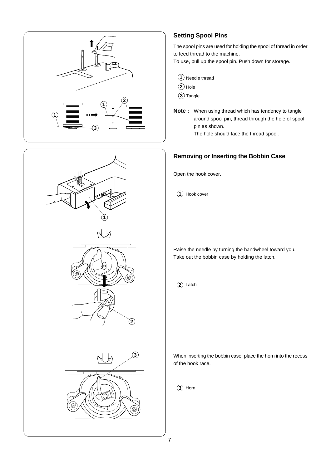



#### **Setting Spool Pins**

The spool pins are used for holding the spool of thread in order to feed thread to the machine.

To use, pull up the spool pin. Push down for storage.

|  | 1 Needle thread |  |
|--|-----------------|--|
|--|-----------------|--|

- **2** Hole
- **3** Tangle
- **Note :** When using thread which has tendency to tangle around spool pin, thread through the hole of spool pin as shown.

The hole should face the thread spool.

#### **Removing or Inserting the Bobbin Case**

Open the hook cover.

1) Hook cover

Raise the needle by turning the handwheel toward you. Take out the bobbin case by holding the latch.

**2**) Latch

When inserting the bobbin case, place the horn into the recess of the hook race.

Horn **3**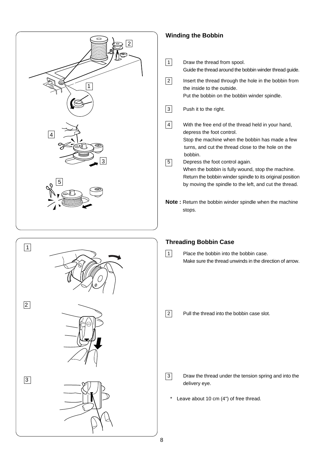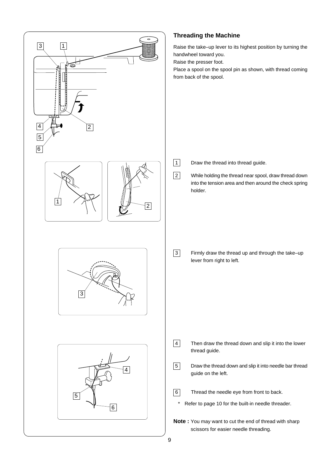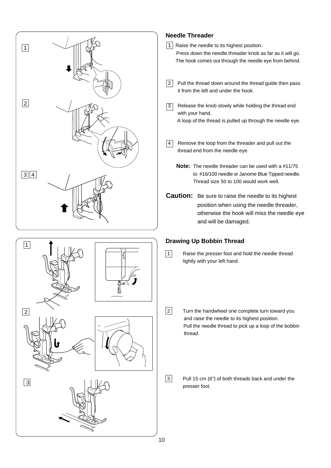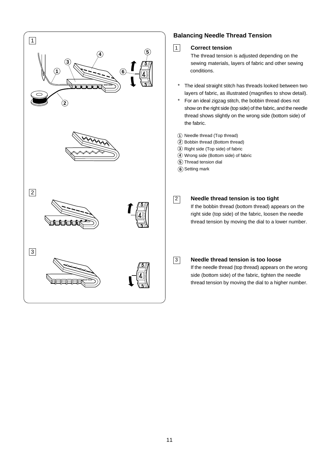

#### **Balancing Needle Thread Tension**



#### 1 **Correct tension**

The thread tension is adjusted depending on the sewing materials, layers of fabric and other sewing conditions.

- \* The ideal straight stitch has threads looked between two layers of fabric, as illustrated (magnifies to show detail).
- \* For an ideal zigzag stitch, the bobbin thread does not show on the right side (top side) of the fabric, and the needle thread shows slightly on the wrong side (bottom side) of the fabric.
- **1** Needle thread (Top thread)
- Bobbin thread (Bottom thread) **2**
- Right side (Top side) of fabric **3**
- Wrong side (Bottom side) of fabric **4**
- **5**) Thread tension dial
- **6**) Setting mark

#### 2 **Needle thread tension is too tight**

If the bobbin thread (bottom thread) appears on the right side (top side) of the fabric, loosen the needle thread tension by moving the dial to a lower number.



#### 3 **Needle thread tension is too loose**

If the needle thread (top thread) appears on the wrong side (bottom side) of the fabric, tighten the needle thread tension by moving the dial to a higher number.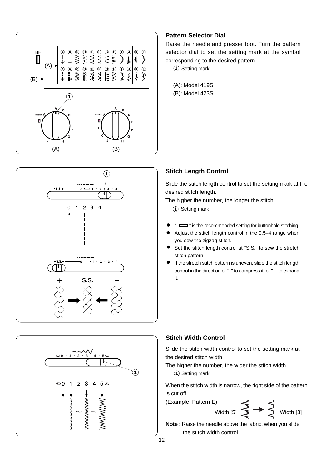

#### **Pattern Selector Dial**

Raise the needle and presser foot. Turn the pattern selector dial to set the setting mark at the symbol corresponding to the desired pattern.

 $1)$  Setting mark

(A): Model 419S (B): Model 423S





Slide the stitch length control to set the setting mark at the desired stitch length.

The higher the number, the longer the stitch

Setting mark **1**

- "  $\equiv$ " is the recommended setting for buttonhole stitching.
- Adjust the stitch length control in the 0.5–4 range when you sew the zigzag stitch.
- Set the stitch length control at "S.S." to sew the stretch stitch pattern.
- If the stretch stitch pattern is uneven, slide the stitch length control in the direction of "–" to compress it, or "+" to expand it.



Slide the stitch width control to set the setting mark at the desired stitch width.

The higher the number, the wider the stitch width **1** Setting mark

When the stitch width is narrow, the right side of the pattern is cut off.

(Example: Pattern E) Width  $[5]$   $\begin{matrix} 1 \end{matrix}$   $\begin{matrix} 1 \end{matrix}$   $\begin{matrix} 1 \end{matrix}$   $\begin{matrix} 1 \end{matrix}$   $\begin{matrix} 1 \end{matrix}$   $\begin{matrix} 1 \end{matrix}$   $\begin{matrix} 1 \end{matrix}$   $\begin{matrix} 1 \end{matrix}$   $\begin{matrix} 1 \end{matrix}$   $\begin{matrix} 1 \end{matrix}$ 

**Note :** Raise the needle above the fabric, when you slide the stitch width control.

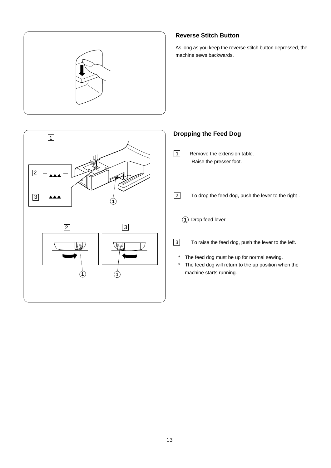

#### **Reverse Stitch Button**

As long as you keep the reverse stitch button depressed, the machine sews backwards.



### **Dropping the Feed Dog**

- 1 Remove the extension table. Raise the presser foot.
- 2 To drop the feed dog, push the lever to the right .
	- 1) Drop feed lever
- 3 To raise the feed dog, push the lever to the left.
	- \* The feed dog must be up for normal sewing.
	- \* The feed dog will return to the up position when the machine starts running.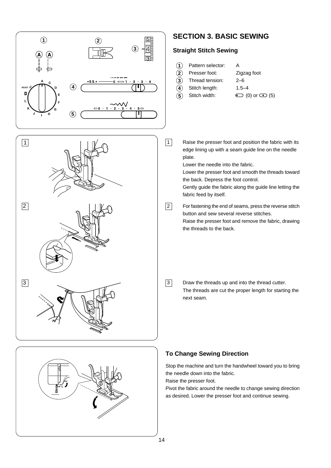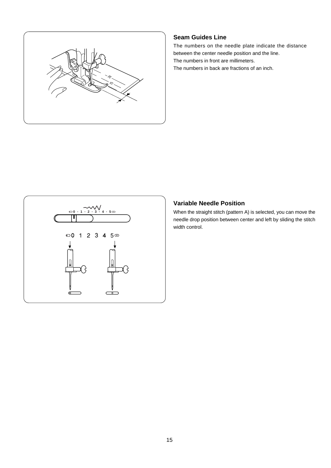

#### **Seam Guides Line**

The numbers on the needle plate indicate the distance between the center needle position and the line. The numbers in front are millimeters. The numbers in back are fractions of an inch.



#### **Variable Needle Position**

needle drop position between center and left by sliding the stitch width control.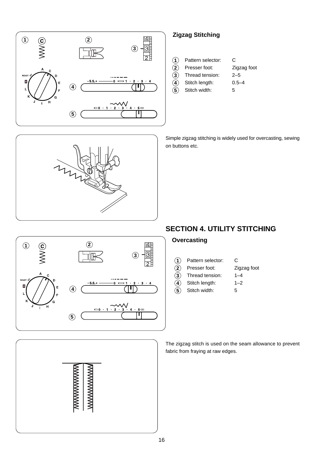

#### **Zigzag Stitching**

- Pattern selector: C
	- Presser foot: Zigzag foot
	- Thread tension: 2–5
	- Stitch length: 0.5–4
- Stitch width: 5 **5**

Simple zigzag stitching is widely used for overcasting, sewing on buttons etc.

#### **SECTION 4. UTILITY STITCHING**

#### **Overcasting**

| (1) | Pattern selector: | C           |
|-----|-------------------|-------------|
| (2) | Presser foot:     | Zigzag foot |
| (3) | Thread tension:   | $1 - 4$     |
| ั4` | Stitch length:    | $1 - 2$     |
| (5) | Stitch width:     | 5           |

The zigzag stitch is used on the seam allowance to prevent fabric from fraying at raw edges.



*MANANANANAN* 

**MWWWWWWWW**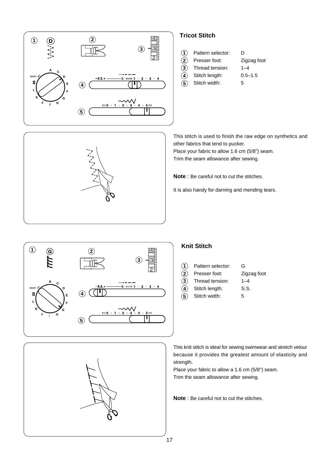

#### **Tricot Stitch**

**4**

| $\odot$ | Pattern selector: | D |
|---------|-------------------|---|
|---------|-------------------|---|

| $(2)$ Presser foot:          | Zigzag foot |
|------------------------------|-------------|
| $\mathbf{a}$ Thread tension: | $1 - 4$     |

| Thread tension: |
|-----------------|
|                 |

Stitch length: 0.5-1.5

Stitch width: 5 **5**

This stitch is used to finish the raw edge on synthetics and other fabrics that tend to pucker.

Place your fabric to allow 1.6 cm (5/8") seam. Trim the seam allowance after sewing.

**Note** : Be careful not to cut the stitches.

It is also handy for darning and mending tears.



#### **Knit Stitch**

| (1)      | Pattern selector: | G           |
|----------|-------------------|-------------|
| (2)      | Presser foot:     | Zigzag foot |
| $\bf(3)$ | Thread tension:   | $1 - 4$     |
| (4)      | Stitch length:    | S.S.        |
| (5)      | Stitch width:     | 5           |
|          |                   |             |

This knit stitch is ideal for sewing swimwear and stretch velour because it provides the greatest amount of elasticity and strength.

Place your fabric to allow a 1.6 cm (5/8") seam. Trim the seam allowance after sewing.

**Note** : Be careful not to cut the stitches.



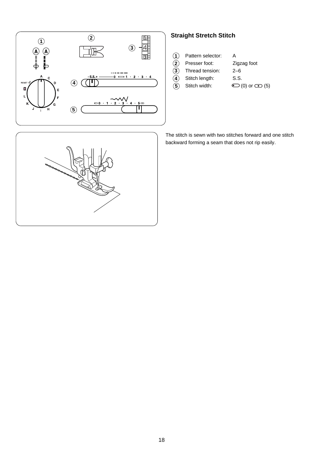

#### **Straight Stretch Stitch**

| Pattern selector: | А |
|-------------------|---|
|                   |   |

- Presser foot: Zigzag foot **2 3**
	- Thread tension: 2–6
	- Stitch length: S.S.
- Stitch width:  $\bigcirc$  (0) or  $\bigcirc$  (5) **5**

**4**

- 
- 

The stitch is sewn with two stitches forward and one stitch backward forming a seam that does not rip easily.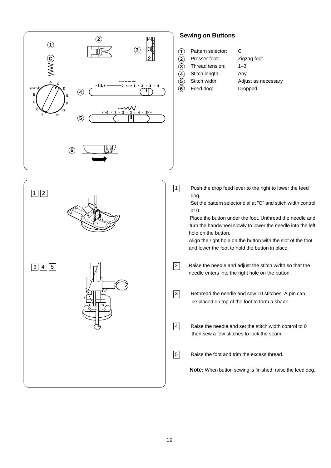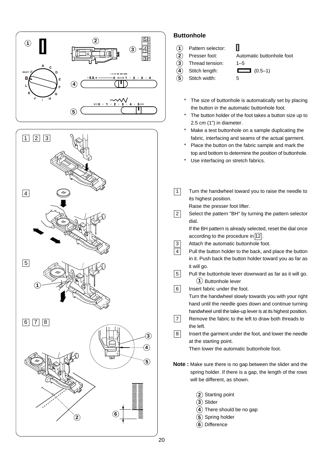



#### **Buttonhole**

- Pattern selector: **1**
- Presser foot: Automatic buttonhole foot **2**
- Thread tension: 1–5 **3**
- 
- **4**
- Stitch width: 5 **5**
- Stitch length:  $(0.5-1)$ 
	- The size of buttonhole is automatically set by placing the button in the automatic buttonhole foot.

П

- The button holder of the foot takes a button size up to 2.5 cm (1") in diameter.
- Make a test buttonhole on a sample duplicating the fabric, interfacing and seams of the actual garment.
- \* Place the button on the fabric sample and mark the top and bottom to determine the position of buttonhole.
- Use interfacing on stretch fabrics.
- $\boxed{1}$  Turn the handwheel toward you to raise the needle to its highest position. Raise the presser foot lifter.
- 2 Select the pattern "BH" by turning the pattern selector dial.

If the BH pattern is already selected, reset the dial once according to the procedure in  $\boxed{12}$ 

- 3 Attach the automatic buttonhole foot.
- **4** Pull the button holder to the back, and place the button in it. Push back the button holder toward you as far as it will go.
- **1** Buttonhole lever **5** Pull the buttonhole lever downward as far as it will go.

6 Insert fabric under the foot.

Turn the handwheel slowly towards you with your right hand until the needle goes down and continue turning handwheel until the take-up lever is at its highest position.

- **7** Remove the fabric to the left to draw both threads to the left.
- 8 Insert the garment under the foot, and lower the needle at the starting point.

Then lower the automatic buttonhole foot.

**Note :** Make sure there is no gap between the slider and the spring holder. If there is a gap, the length of the rows will be different, as shown.

- **2** Starting point
- **3** Slider
- **4** There should be no gap
- **5** Spring holder
- **6** Difference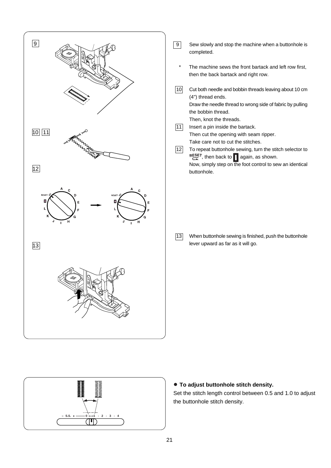



 **To adjust buttonhole stitch density.**

Set the stitch length control between 0.5 and 1.0 to adjust the buttonhole stitch density.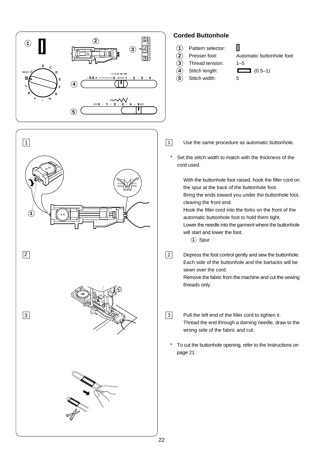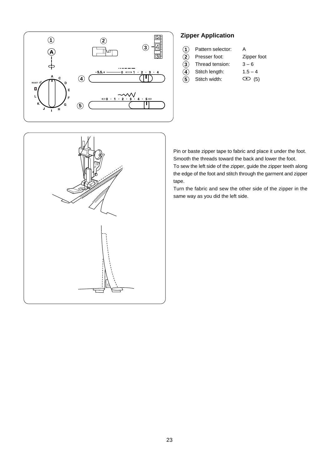

#### **Zipper Application**

| $\odot$ | Pattern selector: | Α |
|---------|-------------------|---|
|         |                   |   |

- Presser foot: Zipper foot **2**
- Thread tension:  $3-6$ **4 3**
- Stitch length:  $1.5 4$ **5**
	- Stitch width:  $\qquad \qquad \qquad \textbf{(5)}$



Pin or baste zipper tape to fabric and place it under the foot. Smooth the threads toward the back and lower the foot. To sew the left side of the zipper, guide the zipper teeth along

the edge of the foot and stitch through the garment and zipper tape.

Turn the fabric and sew the other side of the zipper in the same way as you did the left side.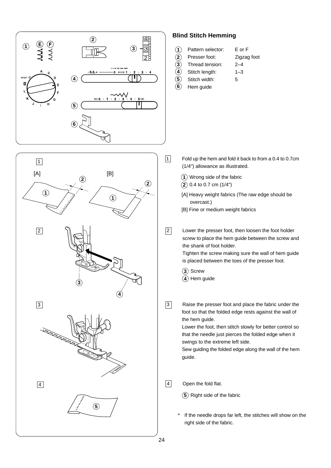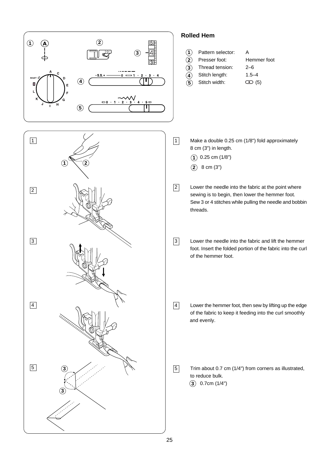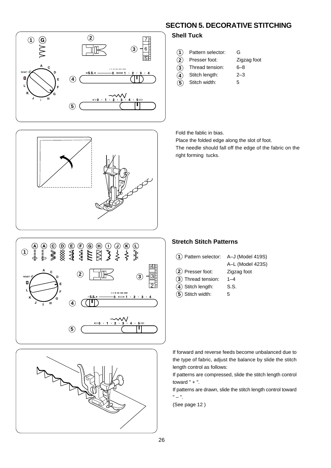





**4**

**2 3**

| $\bigcirc$ | Pattern selector: | G |
|------------|-------------------|---|
|            |                   |   |

- Presser foot: Zigzag foot
- Thread tension: 6–8
- Stitch length: 2–3
- Stitch width: 5 **5**

Fold the fablic in bias.

Place the folded edge along the slot of foot.

The needle should fall off the edge of the fabric on the right forming tucks.



### **Stretch Stitch Patterns**







If forward and reverse feeds become unbalanced due to the type of fabric, adjust the balance by slide the stitch length control as follows:

If patterns are compressed, slide the stitch length control toward  $" +".$ 

If patterns are drawn, slide the stitch length control toward " – ".

(See page 12 )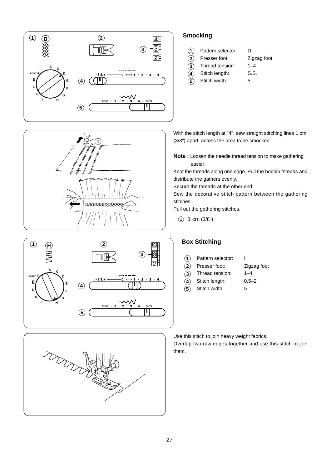





#### Thread tension: 1–4 **4 3**

**1 2**

**Smocking**

Stitch length: S.S.

Pattern selector: D

Presser foot: Zigzag foot

Stitch width: 5 **5**

With the stitch length at "4", sew straight stitching lines 1 cm (3/8") apart, across the area to be smocked.

**Note :** Loosen the needle thread tension to make gathering easier.

Knot the threads along one edge. Pull the bobbin threads and distribute the gathers evenly.

Secure the threads at the other end.

Sew the decorative stitch pattern between the gathering stitches.

Pull out the gathering stitches.

1 cm (3/8") **1**

**2**

#### **Box Stitching**

- Pattern selector: H **1**
	- Presser foot: Zigzag foot
- Thread tension: 1–4 **3**
	- Stitch length: 0.5–2
- Stitch width: 5 **4 5**

Use this stitch to join heavy weight fabrics.

Overlap two raw edges together and use this stitch to join them.

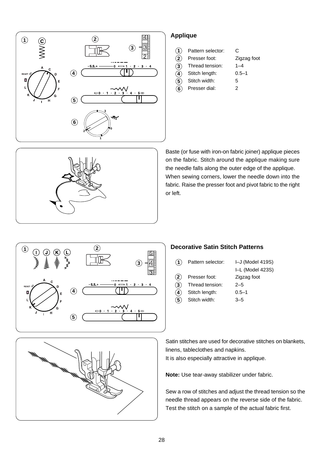

#### **Applique**

**4**

**5**

**2 3**

| С |
|---|
|   |

- Presser foot: Zigzag foot
- Thread tension: 1–4
- Stitch length: 0.5–1
- Stitch width: 5
- Presser dial: 2 **6**



Baste (or fuse with iron-on fabric joiner) applique pieces on the fabric. Stitch around the applique making sure the needle falls along the outer edge of the applique. When sewing corners, lower the needle down into the fabric. Raise the presser foot and pivot fabric to the right or left.



#### **Decorative Satin Stitch Patterns**

| (1)           | Pattern selector: | I-J (Model 419S) |
|---------------|-------------------|------------------|
|               |                   | I-L (Model 423S) |
| $\bf(2)$      | Presser foot:     | Zigzag foot      |
| $\circled{3}$ | Thread tension:   | $2 - 5$          |
| $\bf(4)$      | Stitch length:    | $0.5 - 1$        |

Stitch width: 3–5 **5**

Satin stitches are used for decorative stitches on blankets, linens, tableclothes and napkins. It is also especially attractive in applique.

**Note:** Use tear-away stabilizer under fabric.

Sew a row of stitches and adjust the thread tension so the needle thread appears on the reverse side of the fabric. Test the stitch on a sample of the actual fabric first.

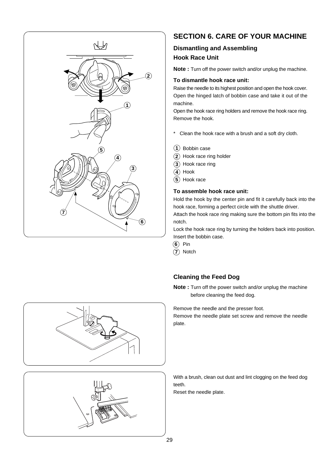

### **SECTION 6. CARE OF YOUR MACHINE**

#### **Dismantling and Assembling Hook Race Unit**

**Note :** Turn off the power switch and/or unplug the machine.

#### **To dismantle hook race unit:**

Raise the needle to its highest position and open the hook cover. Open the hinged latch of bobbin case and take it out of the machine.

Open the hook race ring holders and remove the hook race ring. Remove the hook.

- \* Clean the hook race with a brush and a soft dry cloth.
- Bobbin case **1**
- 2) Hook race ring holder
- **3**) Hook race ring
- **4**) Hook
- 5) Hook race

#### **To assemble hook race unit:**

Hold the hook by the center pin and fit it carefully back into the hook race, forming a perfect circle with the shuttle driver.

Attach the hook race ring making sure the bottom pin fits into the notch.

Lock the hook race ring by turning the holders back into position. Insert the bobbin case.

- **6**) Pin
- **7**) Notch

#### **Cleaning the Feed Dog**

**Note :** Turn off the power switch and/or unplug the machine before cleaning the feed dog.

Remove the needle and the presser foot.

Remove the needle plate set screw and remove the needle plate.





With a brush, clean out dust and lint clogging on the feed dog teeth.

Reset the needle plate.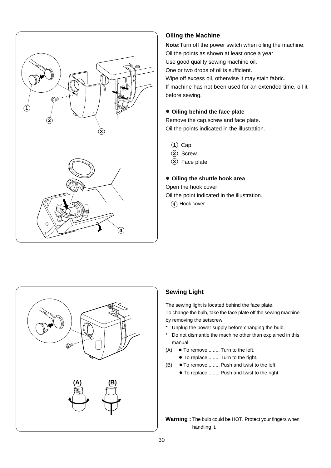

#### **Oiling the Machine**

**Note:**Turn off the power switch when oiling the machine. Oil the points as shown at least once a year. Use good quality sewing machine oil.

One or two drops of oil is sufficient.

Wipe off excess oil, otherwise it may stain fabric.

If machine has not been used for an extended time, oil it before sewing.

#### **Oiling behind the face plate**

Remove the cap,screw and face plate. Oil the points indicated in the illustration.

- 1) Cap
	- 2) Screw
	- Face plate **3**

#### **Oiling the shuttle hook area**

Open the hook cover.

Oil the point indicated in the illustration.

**4**) Hook cover



#### **Sewing Light**

The sewing light is located behind the face plate.

To change the bulb, take the face plate off the sewing machine by removing the setscrew.

- \* Unplug the power supply before changing the bulb.
- \* Do not dismantle the machine other than explained in this manual.
- $(A) \bullet$  To remove ........ Turn to the left.
	- To replace ........ Turn to the right.
- (B) To remove ........ Push and twist to the left.
	- $\bullet$  To replace ........ Push and twist to the right.

**Warning :** The bulb could be HOT. Protect your fingers when handling it.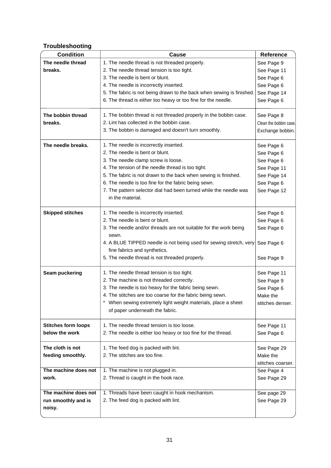#### **Troubleshooting**

| <b>Condition</b>           | Cause                                                                                 | <b>Reference</b>       |
|----------------------------|---------------------------------------------------------------------------------------|------------------------|
| The needle thread          | 1. The needle thread is not threaded properly.                                        | See Page 9             |
| breaks.                    | 2. The needle thread tension is too tight.                                            | See Page 11            |
|                            | 3. The needle is bent or blunt.                                                       | See Page 6             |
|                            | 4. The needle is incorrectly inserted.                                                | See Page 6             |
|                            | 5. The fabric is not being drawn to the back when sewing is finished.                 | See Page 14            |
|                            | 6. The thread is either too heavy or too fine for the needle.                         | See Page 6             |
| The bobbin thread          | 1. The bobbin thread is not threaded properly in the bobbin case.                     | See Page 8             |
| breaks.                    | 2. Lint has collected in the bobbin case.                                             | Clean the bobbin case. |
|                            | 3. The bobbin is damaged and doesn't turn smoothly.                                   | Exchange bobbin.       |
|                            |                                                                                       |                        |
| The needle breaks.         | 1. The needle is incorrectly inserted.                                                | See Page 6             |
|                            | 2. The needle is bent or blunt.                                                       | See Page 6             |
|                            | 3. The needle clamp screw is loose.                                                   | See Page 6             |
|                            | 4. The tension of the needle thread is too tight.                                     | See Page 11            |
|                            | 5. The fabric is not drawn to the back when sewing is finished.                       | See Page 14            |
|                            | 6. The needle is too fine for the fabric being sewn.                                  | See Page 6             |
|                            | 7. The pattern selector dial had been turned while the needle was<br>in the material. | See Page 12            |
|                            |                                                                                       |                        |
| <b>Skipped stitches</b>    | 1. The needle is incorrectly inserted.                                                | See Page 6             |
|                            | 2. The needle is bent or blunt.                                                       | See Page 6             |
|                            | 3. The needle and/or threads are not suitable for the work being<br>sewn.             | See Page 6             |
|                            | 4. A BLUE TIPPED needle is not being used for sewing stretch, very                    | See Page 6             |
|                            | fine fabrics and synthetics.                                                          |                        |
|                            | 5. The needle thread is not threaded properly.                                        | See Page 9             |
| Seam puckering             | 1. The needle thread tension is too tight.                                            | See Page 11            |
|                            | 2. The machine is not threaded correctly.                                             | See Page 9             |
|                            | 3. The needle is too heavy for the fabric being sewn.                                 | See Page 6             |
|                            | 4. The stitches are too coarse for the fabric being sewn.                             | Make the               |
|                            | When sewing extremely light weight materials, place a sheet                           | stitches denser.       |
|                            | of paper underneath the fabric.                                                       |                        |
| <b>Stitches form loops</b> | 1. The needle thread tension is too loose.                                            | See Page 11            |
| below the work             | 2. The needle is either too heavy or too fine for the thread.                         | See Page 6             |
| The cloth is not           | 1. The feed dog is packed with lint.                                                  | See Page 29            |
| feeding smoothly.          | 2. The stitches are too fine.                                                         | Make the               |
|                            |                                                                                       | stitches coarser.      |
| The machine does not       | 1. The machine is not plugged in.                                                     | See Page 4             |
| work.                      | 2. Thread is caught in the hook race.                                                 | See Page 29            |
| The machine does not       | 1. Threads have been caught in hook mechanism.                                        | See page 29            |
| run smoothly and is        | 2. The feed dog is packed with lint.                                                  | See Page 29            |
| noisy.                     |                                                                                       |                        |
|                            |                                                                                       |                        |